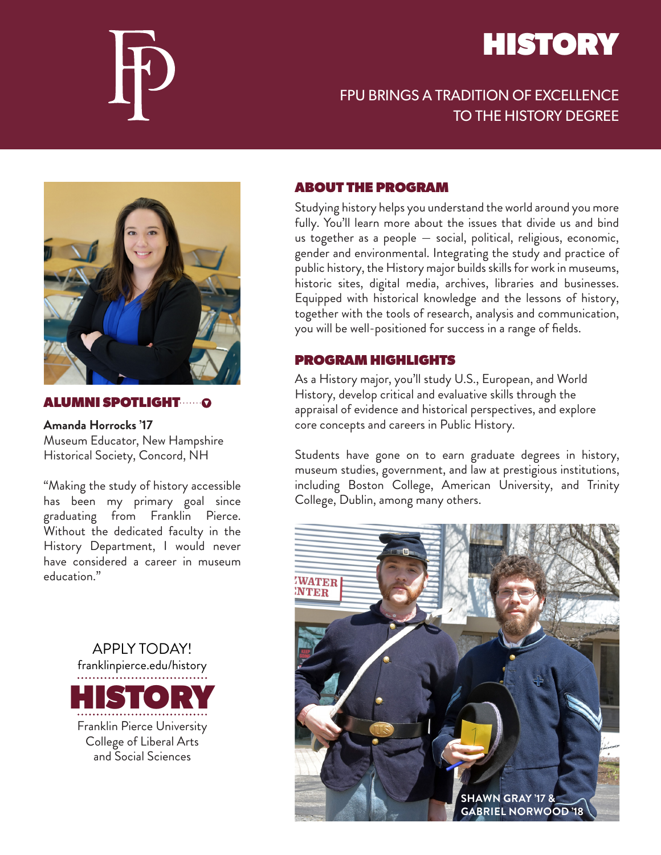

# **HISTORY**

# FPU BRINGS A TRADITION OF EXCELLENCE TO THE HISTORY DEGREE



### ALUMNI SPOTLIGHT

**Amanda Horrocks '17** Museum Educator, New Hampshire Historical Society, Concord, NH

"Making the study of history accessible has been my primary goal since graduating from Franklin Pierce. Without the dedicated faculty in the History Department, I would never have considered a career in museum education."

> APPLY TODAY! franklinpierce.edu/history **HOR** Franklin Pierce University College of Liberal Arts and Social Sciences

### ABOUT THE PROGRAM

Studying history helps you understand the world around you more fully. You'll learn more about the issues that divide us and bind us together as a people — social, political, religious, economic, gender and environmental. Integrating the study and practice of public history, the History major builds skills for work in museums, historic sites, digital media, archives, libraries and businesses. Equipped with historical knowledge and the lessons of history, together with the tools of research, analysis and communication, you will be well-positioned for success in a range of fields.

## PROGRAM HIGHLIGHTS

As a History major, you'll study U.S., European, and World History, develop critical and evaluative skills through the appraisal of evidence and historical perspectives, and explore core concepts and careers in Public History.

Students have gone on to earn graduate degrees in history, museum studies, government, and law at prestigious institutions, including Boston College, American University, and Trinity College, Dublin, among many others.